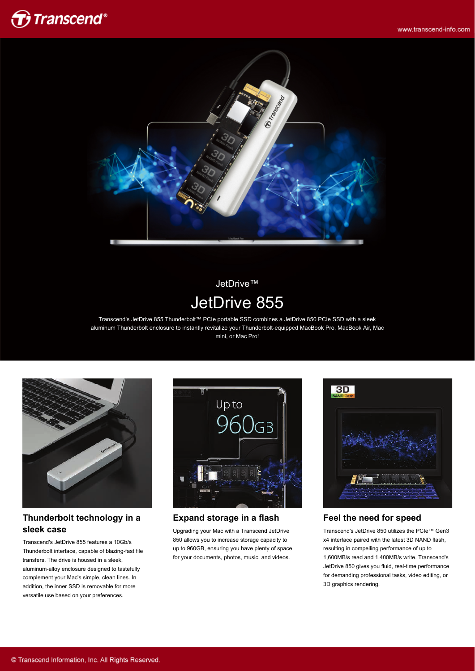



JetDrive™ JetDrive 855

Transcend's JetDrive 855 Thunderbolt™ PCIe portable SSD combines a JetDrive 850 PCIe SSD with a sleek aluminum Thunderbolt enclosure to instantly revitalize your Thunderbolt-equipped MacBook Pro, MacBook Air, Mac mini, or Mac Pro!



#### **Thunderbolt technology in a sleek case**

Transcend's JetDrive 855 features a 10Gb/s Thunderbolt interface, capable of blazing-fast file transfers. The drive is housed in a sleek, aluminum-alloy enclosure designed to tastefully complement your Mac's simple, clean lines. In addition, the inner SSD is removable for more versatile use based on your preferences.



**Expand storage in a flash**

Upgrading your Mac with a Transcend JetDrive 850 allows you to increase storage capacity to up to 960GB, ensuring you have plenty of space for your documents, photos, music, and videos.



#### **Feel the need for speed**

Transcend's JetDrive 850 utilizes the PCIe™ Gen3 x4 interface paired with the latest 3D NAND flash, resulting in compelling performance of up to 1,600MB/s read and 1,400MB/s write. Transcend's JetDrive 850 gives you fluid, real-time performance for demanding professional tasks, video editing, or 3D graphics rendering.